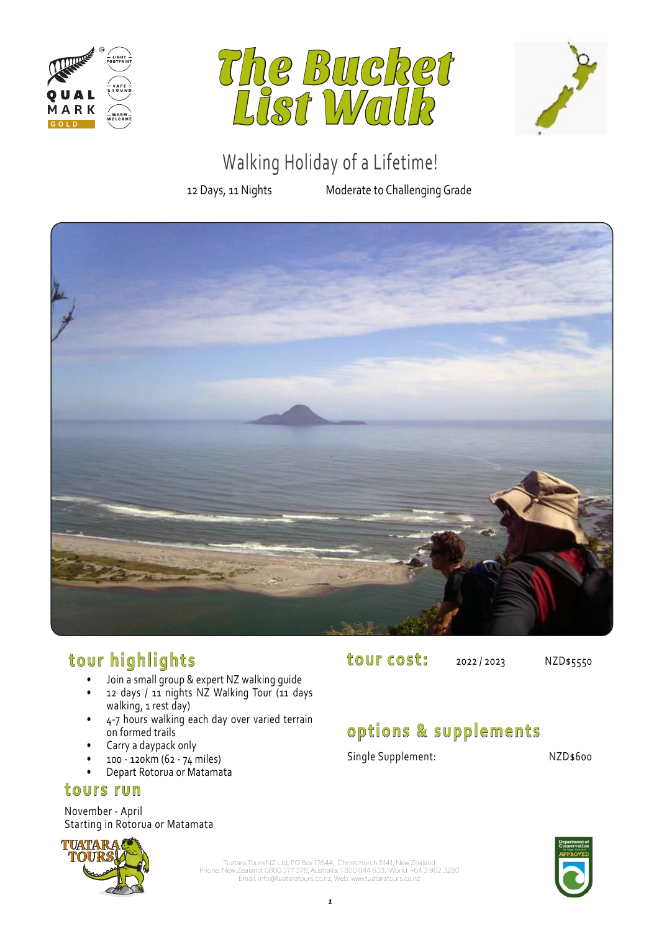





# 12 Days, 11 Nights Moderate to Challenging Grade



# **tour highlights**

- Join a small group & expert NZ walking guide
- 12 days / 11 nights NZ Walking Tour (11 days walking, 1 rest day)
- 4-7 hours walking each day over varied terrain on formed trails
- Carry a daypack only
- 100 120km (62 74 miles)
- Depart Rotorua or Matamata

### **tours run**

November - April Starting in Rotorua or Matamata



**tour cost:** 2022/2023 NZD\$5550

# **options & supplements**

Single Supplement: NZD\$600

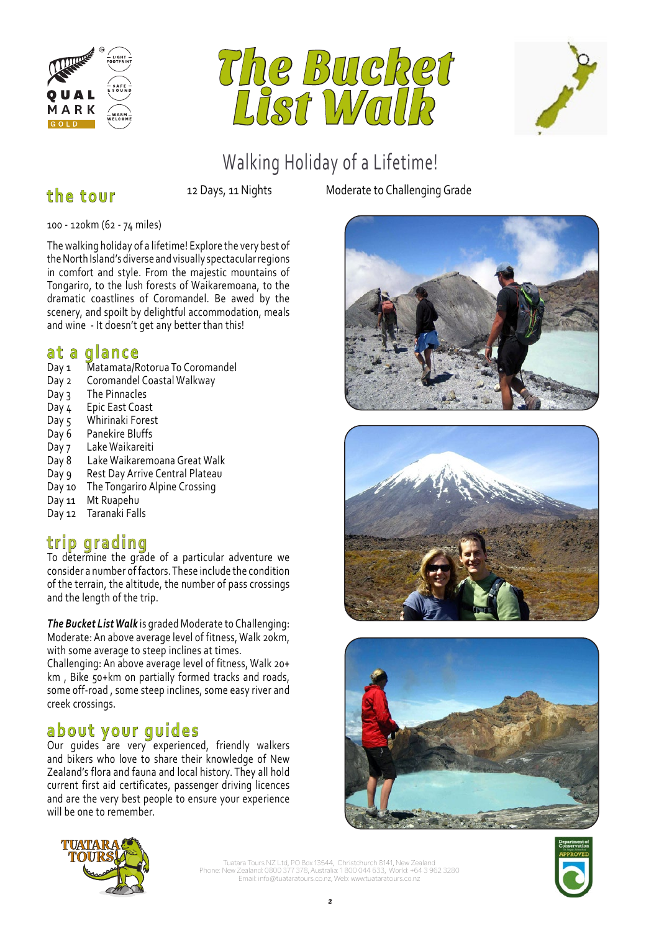





## **the tour**

100 - 120km (62 - 74 miles)

The walking holiday of a lifetime! Explore the very best of the North Island's diverse and visually spectacular regions in comfort and style. From the majestic mountains of Tongariro, to the lush forests of Waikaremoana, to the dramatic coastlines of Coromandel. Be awed by the scenery, and spoilt by delightful accommodation, meals and wine - It doesn't get any better than this!

### **at a glance**

- Day 1 Matamata/Rotorua To Coromandel
- Day 2 Coromandel Coastal Walkway
- $Day 3$  The Pinnacles
- Day 4 Epic East Coast
- Day 5 Whirinaki Forest<br>Day 6 Panekire Bluffs
- Panekire Bluffs
- Day 7 Lake Waikareiti
- Day 8 Lake Waikaremoana Great Walk
- Day 9 Rest Day Arrive Central Plateau
- Day 10 The Tongariro Alpine Crossing
- Day 11 Mt Ruapehu
- Day 12 Taranaki Falls

# **trip grading**

To determine the grade of a particular adventure we consider a number of factors. These include the condition of the terrain, the altitude, the number of pass crossings and the length of the trip.

*The Bucket List Walk* is graded Moderate to Challenging: Moderate: An above average level of fitness, Walk 20km, with some average to steep inclines at times.

Challenging: An above average level of fitness, Walk 20+ km , Bike 50+km on partially formed tracks and roads, some off-road , some steep inclines, some easy river and creek crossings.

# **about your guides**

Our guides are very experienced, friendly walkers and bikers who love to share their knowledge of New Zealand's flora and fauna and local history. They all hold current first aid certificates, passenger driving licences and are the very best people to ensure your experience will be one to remember.

12 Days, 11 Nights Moderate to Challenging Grade









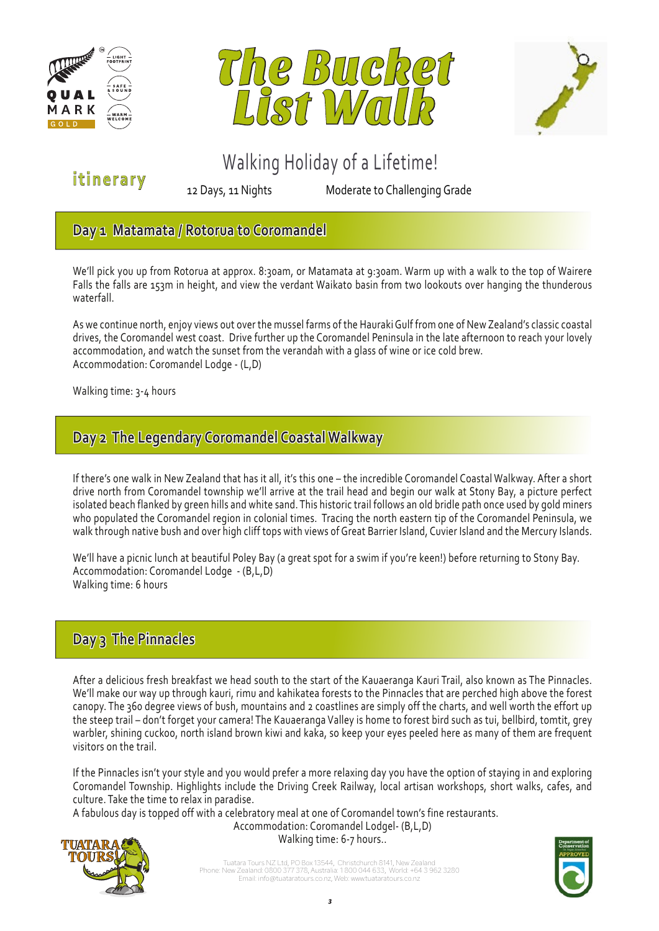





**itinerary**

12 Days, 11 Nights Moderate to Challenging Grade

### **Day 1 Matamata / Rotorua to Coromandel**

We'll pick you up from Rotorua at approx. 8:30am, or Matamata at 9:30am. Warm up with a walk to the top of Wairere Falls the falls are 153m in height, and view the verdant Waikato basin from two lookouts over hanging the thunderous waterfall.

As we continue north, enjoy views out over the mussel farms of the Hauraki Gulf from one of New Zealand's classic coastal drives, the Coromandel west coast. Drive further up the Coromandel Peninsula in the late afternoon to reach your lovely accommodation, and watch the sunset from the verandah with a glass of wine or ice cold brew. Accommodation: Coromandel Lodge - (L,D)

Walking time: 3-4 hours

### **Day 2 The Legendary Coromandel Coastal Walkway**

If there's one walk in New Zealand that has it all, it's this one – the incredible Coromandel Coastal Walkway. After a short drive north from Coromandel township we'll arrive at the trail head and begin our walk at Stony Bay, a picture perfect isolated beach flanked by green hills and white sand. This historic trail follows an old bridle path once used by gold miners who populated the Coromandel region in colonial times. Tracing the north eastern tip of the Coromandel Peninsula, we walk through native bush and over high cliff tops with views of Great Barrier Island, Cuvier Island and the Mercury Islands.

We'll have a picnic lunch at beautiful Poley Bay (a great spot for a swim if you're keen!) before returning to Stony Bay. Accommodation: Coromandel Lodge - (B,L,D) Walking time: 6 hours

### **Day 3 The Pinnacles**

After a delicious fresh breakfast we head south to the start of the Kauaeranga Kauri Trail, also known as The Pinnacles. We'll make our way up through kauri, rimu and kahikatea forests to the Pinnacles that are perched high above the forest canopy. The 360 degree views of bush, mountains and 2 coastlines are simply off the charts, and well worth the effort up the steep trail – don't forget your camera! The Kauaeranga Valley is home to forest bird such as tui, bellbird, tomtit, grey warbler, shining cuckoo, north island brown kiwi and kaka, so keep your eyes peeled here as many of them are frequent visitors on the trail.

If the Pinnacles isn't your style and you would prefer a more relaxing day you have the option of staying in and exploring Coromandel Township. Highlights include the Driving Creek Railway, local artisan workshops, short walks, cafes, and culture. Take the time to relax in paradise.

A fabulous day is topped off with a celebratory meal at one of Coromandel town's fine restaurants. Accommodation: Coromandel Lodgel- (B,L,D)



Walking time: 6-7 hours..

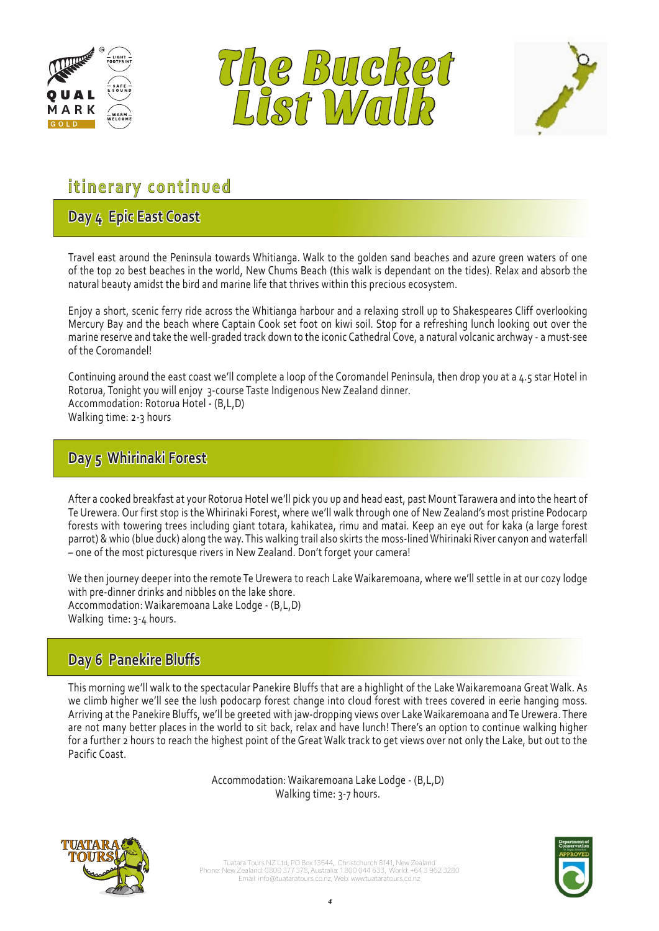





# 12 Days, 11 Nights Moderate to Challenging Grade **itinerary continued**

## **Day 4 Epic East Coast**

Travel east around the Peninsula towards Whitianga. Walk to the golden sand beaches and azure green waters of one of the top 20 best beaches in the world, New Chums Beach (this walk is dependant on the tides). Relax and absorb the natural beauty amidst the bird and marine life that thrives within this precious ecosystem.

Enjoy a short, scenic ferry ride across the Whitianga harbour and a relaxing stroll up to Shakespeares Cliff overlooking Mercury Bay and the beach where Captain Cook set foot on kiwi soil. Stop for a refreshing lunch looking out over the marine reserve and take the well-graded track down to the iconic Cathedral Cove, a natural volcanic archway - a must-see of the Coromandel!

Continuing around the east coast we'll complete a loop of the Coromandel Peninsula, then drop you at a 4.5 star Hotel in Rotorua, Tonight you will enjoy 3-course Taste Indigenous New Zealand dinner. Accommodation: Rotorua Hotel - (B,L,D) Walking time: 2-3 hours

### **Day 5 Whirinaki Forest**

After a cooked breakfast at your Rotorua Hotel we'll pick you up and head east, past Mount Tarawera and into the heart of Te Urewera. Our first stop is the Whirinaki Forest, where we'll walk through one of New Zealand's most pristine Podocarp forests with towering trees including giant totara, kahikatea, rimu and matai. Keep an eye out for kaka (a large forest parrot) & whio (blue duck) along the way. This walking trail also skirts the moss-lined Whirinaki River canyon and waterfall – one of the most picturesque rivers in New Zealand. Don't forget your camera!

We then journey deeper into the remote Te Urewera to reach Lake Waikaremoana, where we'll settle in at our cozy lodge with pre-dinner drinks and nibbles on the lake shore. Accommodation: Waikaremoana Lake Lodge - (B,L,D) Walking time: 3-4 hours.

### **Day 6 Panekire Bluffs**

This morning we'll walk to the spectacular Panekire Bluffs that are a highlight of the Lake Waikaremoana Great Walk. As we climb higher we'll see the lush podocarp forest change into cloud forest with trees covered in eerie hanging moss. Arriving at the Panekire Bluffs, we'll be greeted with jaw-dropping views over Lake Waikaremoana and Te Urewera. There are not many better places in the world to sit back, relax and have lunch! There's an option to continue walking higher for a further 2 hours to reach the highest point of the Great Walk track to get views over not only the Lake, but out to the Pacific Coast.

> Accommodation: Waikaremoana Lake Lodge - (B,L,D) Walking time: 3-7 hours.



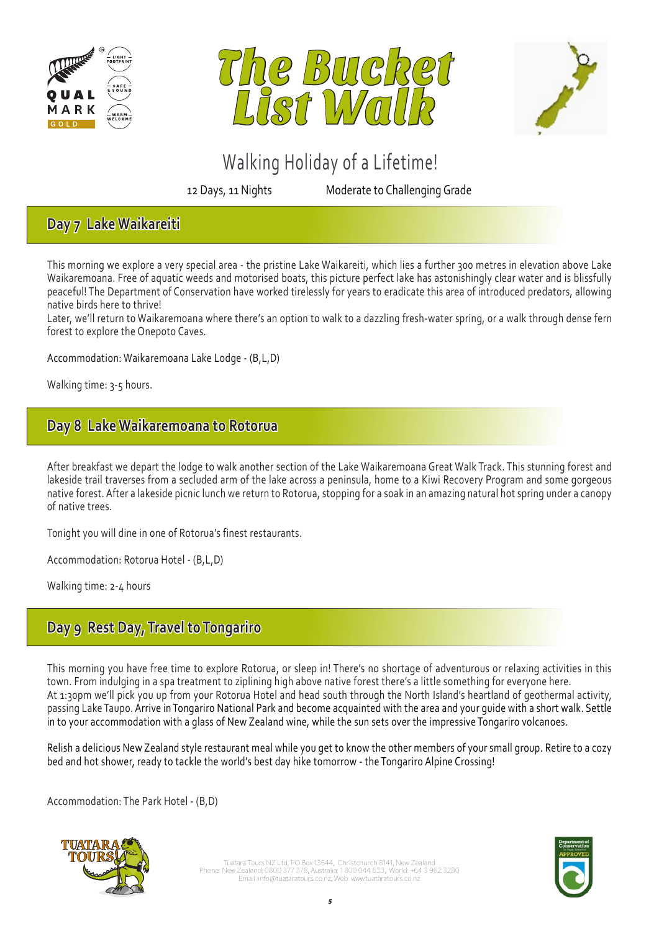





12 Days, 11 Nights Moderate to Challenging Grade

### **Day 7 Lake Waikareiti**

This morning we explore a very special area - the pristine Lake Waikareiti, which lies a further 300 metres in elevation above Lake Waikaremoana. Free of aquatic weeds and motorised boats, this picture perfect lake has astonishingly clear water and is blissfully peaceful! The Department of Conservation have worked tirelessly for years to eradicate this area of introduced predators, allowing native birds here to thrive!

Later, we'll return to Waikaremoana where there's an option to walk to a dazzling fresh-water spring, or a walk through dense fern forest to explore the Onepoto Caves.

Accommodation: Waikaremoana Lake Lodge - (B,L,D)

Walking time: 3-5 hours.

### **Day 8 Lake Waikaremoana to Rotorua**

After breakfast we depart the lodge to walk another section of the Lake Waikaremoana Great Walk Track. This stunning forest and lakeside trail traverses from a secluded arm of the lake across a peninsula, home to a Kiwi Recovery Program and some gorgeous native forest. After a lakeside picnic lunch we return to Rotorua, stopping for a soak in an amazing natural hot spring under a canopy of native trees.

Tonight you will dine in one of Rotorua's finest restaurants.

Accommodation: Rotorua Hotel - (B,L,D)

Walking time: 2-4 hours

### **Day 9 Rest Day, Travel to Tongariro**

This morning you have free time to explore Rotorua, or sleep in! There's no shortage of adventurous or relaxing activities in this town. From indulging in a spa treatment to ziplining high above native forest there's a little something for everyone here. At 1:30pm we'll pick you up from your Rotorua Hotel and head south through the North Island's heartland of geothermal activity, passing Lake Taupo. Arrive in Tongariro National Park and become acquainted with the area and your guide with a short walk. Settle in to your accommodation with a glass of New Zealand wine, while the sun sets over the impressive Tongariro volcanoes.

Relish a delicious New Zealand style restaurant meal while you get to know the other members of your small group. Retire to a cozy bed and hot shower, ready to tackle the world's best day hike tomorrow - the Tongariro Alpine Crossing!

Accommodation: The Park Hotel - (B,D)



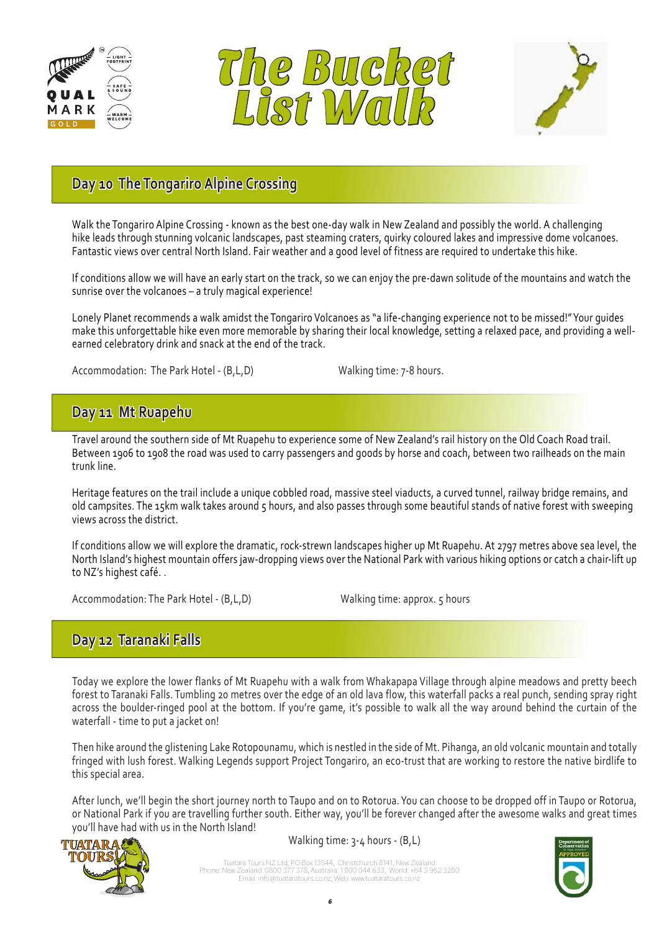





# 12 Days, 11 Nights Moderate to Challenging Grade **Day 10 The Tongariro Alpine Crossing**

Walk the Tongariro Alpine Crossing - known as the best one-day walk in New Zealand and possibly the world. A challenging hike leads through stunning volcanic landscapes, past steaming craters, quirky coloured lakes and impressive dome volcanoes. Fantastic views over central North Island. Fair weather and a good level of fitness are required to undertake this hike.

If conditions allow we will have an early start on the track, so we can enjoy the pre-dawn solitude of the mountains and watch the sunrise over the volcanoes – a truly magical experience!

Lonely Planet recommends a walk amidst the Tongariro Volcanoes as "a life-changing experience not to be missed!" Your guides make this unforgettable hike even more memorable by sharing their local knowledge, setting a relaxed pace, and providing a wellearned celebratory drink and snack at the end of the track.

Accommodation: The Park Hotel - (B,L,D) Walking time: 7-8 hours.

### **Day 11 Mt Ruapehu**

Travel around the southern side of Mt Ruapehu to experience some of New Zealand's rail history on the Old Coach Road trail. Between 1906 to 1908 the road was used to carry passengers and goods by horse and coach, between two railheads on the main trunk line.

Heritage features on the trail include a unique cobbled road, massive steel viaducts, a curved tunnel, railway bridge remains, and old campsites. The 15km walk takes around 5 hours, and also passes through some beautiful stands of native forest with sweeping views across the district.

If conditions allow we will explore the dramatic, rock-strewn landscapes higher up Mt Ruapehu. At 2797 metres above sea level, the North Island's highest mountain offers jaw-dropping views over the National Park with various hiking options or catch a chair-lift up to NZ's highest café. .

Accommodation: The Park Hotel - (B,L,D) Walking time: approx. 5 hours

### **Day 12 Taranaki Falls**

Today we explore the lower flanks of Mt Ruapehu with a walk from Whakapapa Village through alpine meadows and pretty beech forest to Taranaki Falls. Tumbling 20 metres over the edge of an old lava flow, this waterfall packs a real punch, sending spray right across the boulder-ringed pool at the bottom. If you're game, it's possible to walk all the way around behind the curtain of the waterfall - time to put a jacket on!

Then hike around the glistening Lake Rotopounamu, which is nestled in the side of Mt. Pihanga, an old volcanic mountain and totally fringed with lush forest. Walking Legends support Project Tongariro, an eco-trust that are working to restore the native birdlife to this special area.

After lunch, we'll begin the short journey north to Taupo and on to Rotorua. You can choose to be dropped off in Taupo or Rotorua, or National Park if you are travelling further south. Either way, you'll be forever changed after the awesome walks and great times you'll have had with us in the North Island!



Walking time: 3-4 hours - (B,L)

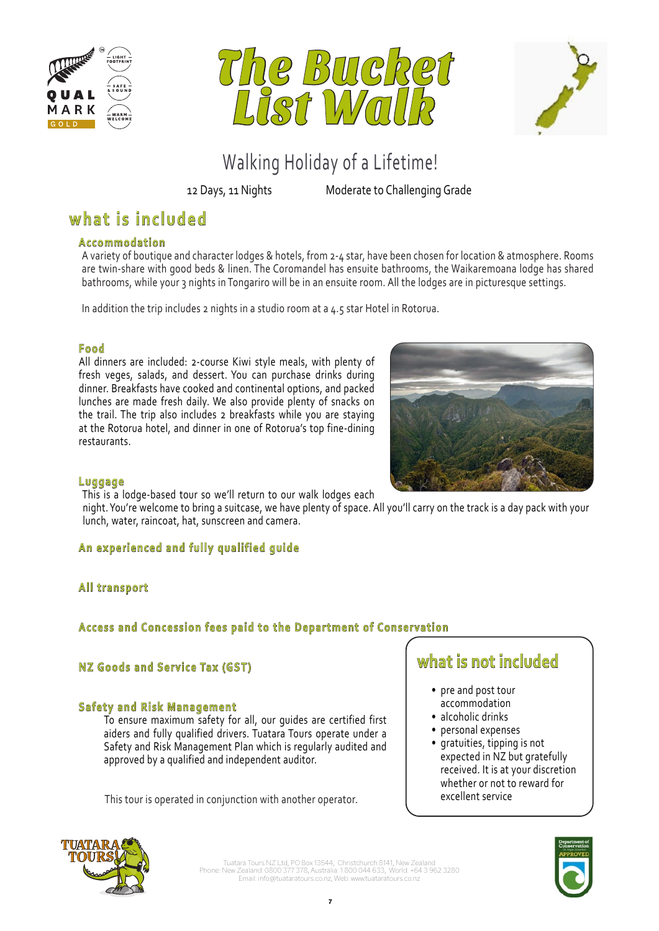





12 Days, 11 Nights Moderate to Challenging Grade

# **what is included**

#### **Accommodation**

A variety of boutique and character lodges & hotels, from 2-4 star, have been chosen for location & atmosphere. Rooms are twin-share with good beds & linen. The Coromandel has ensuite bathrooms, the Waikaremoana lodge has shared bathrooms, while your 3 nights in Tongariro will be in an ensuite room. All the lodges are in picturesque settings.

In addition the trip includes 2 nights in a studio room at a 4.5 star Hotel in Rotorua.

#### **Food**

All dinners are included: 2-course Kiwi style meals, with plenty of fresh veges, salads, and dessert. You can purchase drinks during dinner. Breakfasts have cooked and continental options, and packed lunches are made fresh daily. We also provide plenty of snacks on the trail. The trip also includes 2 breakfasts while you are staying at the Rotorua hotel, and dinner in one of Rotorua's top fine-dining restaurants.



#### **Luggage**

This is a lodge-based tour so we'll return to our walk lodges each

 night. You're welcome to bring a suitcase, we have plenty of space. All you'll carry on the track is a day pack with your lunch, water, raincoat, hat, sunscreen and camera.

#### **An experienced and fully qualified guide**

### **All transport**

#### **Access and Concession fees paid to the Department of Conservation**

#### **NZ Goods and Service Tax (GST)**

#### **Safety and Risk Management**

To ensure maximum safety for all, our guides are certified first aiders and fully qualified drivers. Tuatara Tours operate under a Safety and Risk Management Plan which is regularly audited and approved by a qualified and independent auditor.

This tour is operated in conjunction with another operator.

# **what is not included**

- pre and post tour accommodation
- alcoholic drinks
- personal expenses
- gratuities, tipping is not expected in NZ but gratefully received. It is at your discretion whether or not to reward for excellent service



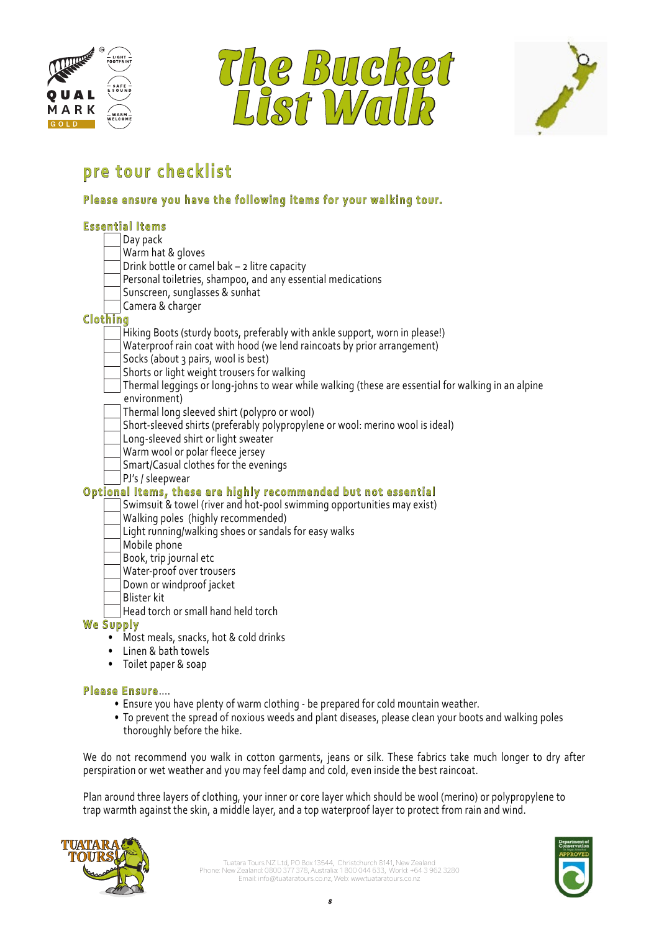





#### Walking Holiday of a Lifetime. The state of a Lifetime of a Lifetime of a Lifetime. **pre tour checklist**

# 12 Days, 11 Nights Moderate to Challenging Grade **Please ensure you have the following items for your walking tour.**

| <b>Essential Items</b>                                                                             |
|----------------------------------------------------------------------------------------------------|
| Day pack                                                                                           |
| Warm hat & gloves                                                                                  |
| Drink bottle or camel bak - 2 litre capacity                                                       |
| Personal toiletries, shampoo, and any essential medications                                        |
| Sunscreen, sunglasses & sunhat                                                                     |
| Camera & charger                                                                                   |
| Clothing                                                                                           |
| Hiking Boots (sturdy boots, preferably with ankle support, worn in please!)                        |
| Waterproof rain coat with hood (we lend raincoats by prior arrangement)                            |
| Socks (about 3 pairs, wool is best)                                                                |
| Shorts or light weight trousers for walking                                                        |
| Thermal leggings or long-johns to wear while walking (these are essential for walking in an alpine |
| environment)                                                                                       |
| Thermal long sleeved shirt (polypro or wool)                                                       |
| Short-sleeved shirts (preferably polypropylene or wool: merino wool is ideal)                      |
| Long-sleeved shirt or light sweater                                                                |
| Warm wool or polar fleece jersey                                                                   |
| Smart/Casual clothes for the evenings                                                              |
| PJ's / sleepwear                                                                                   |
| Optional Items, these are highly recommended but not essential                                     |
| Swimsuit & towel (river and hot-pool swimming opportunities may exist)                             |
| Walking poles (highly recommended)                                                                 |
| Light running/walking shoes or sandals for easy walks                                              |
| Mobile phone                                                                                       |
| Book, trip journal etc                                                                             |
| Water-proof over trousers                                                                          |
| Down or windproof jacket                                                                           |
| <b>Blister kit</b>                                                                                 |
| Head torch or small hand held torch                                                                |
| We Supply                                                                                          |
| Most meals, snacks, hot & cold drinks                                                              |
| Linen & bath towels<br>$\bullet$                                                                   |
| Toilet paper & soap<br>$\bullet$                                                                   |

#### **Please Ensure**....

- Ensure you have plenty of warm clothing be prepared for cold mountain weather.
- To prevent the spread of noxious weeds and plant diseases, please clean your boots and walking poles thoroughly before the hike.

We do not recommend you walk in cotton garments, jeans or silk. These fabrics take much longer to dry after perspiration or wet weather and you may feel damp and cold, even inside the best raincoat.

Plan around three layers of clothing, your inner or core layer which should be wool (merino) or polypropylene to trap warmth against the skin, a middle layer, and a top waterproof layer to protect from rain and wind.



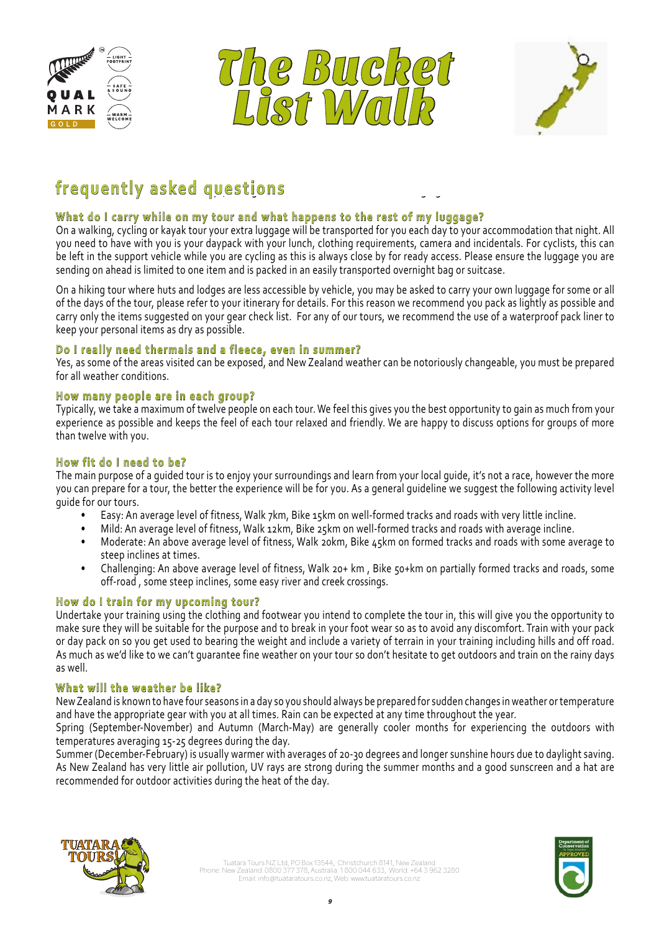





# 12 Days, 11 Nights Moderate to Challenging Grade **frequently asked questions**

#### **What do I carry while on my tour and what happens to the rest of my luggage?**

On a walking, cycling or kayak tour your extra luggage will be transported for you each day to your accommodation that night. All you need to have with you is your daypack with your lunch, clothing requirements, camera and incidentals. For cyclists, this can be left in the support vehicle while you are cycling as this is always close by for ready access. Please ensure the luggage you are sending on ahead is limited to one item and is packed in an easily transported overnight bag or suitcase.

On a hiking tour where huts and lodges are less accessible by vehicle, you may be asked to carry your own luggage for some or all of the days of the tour, please refer to your itinerary for details. For this reason we recommend you pack as lightly as possible and carry only the items suggested on your gear check list. For any of our tours, we recommend the use of a waterproof pack liner to keep your personal items as dry as possible.

#### **Do I really need thermals and a fleece, even in summer?**

Yes, as some of the areas visited can be exposed, and New Zealand weather can be notoriously changeable, you must be prepared for all weather conditions.

#### **How many people are in each group?**

Typically, we take a maximum of twelve people on each tour. We feel this gives you the best opportunity to gain as much from your experience as possible and keeps the feel of each tour relaxed and friendly. We are happy to discuss options for groups of more than twelve with you.

#### **How fit do I need to be?**

The main purpose of a guided tour is to enjoy your surroundings and learn from your local guide, it's not a race, however the more you can prepare for a tour, the better the experience will be for you. As a general guideline we suggest the following activity level guide for our tours.

- Easy: An average level of fitness, Walk 7km, Bike 15km on well-formed tracks and roads with very little incline.
- Mild: An average level of fitness, Walk 12km, Bike 25km on well-formed tracks and roads with average incline.
- Moderate: An above average level of fitness, Walk 20km, Bike 45km on formed tracks and roads with some average to steep inclines at times.
- Challenging: An above average level of fitness, Walk 20+ km , Bike 50+km on partially formed tracks and roads, some off-road , some steep inclines, some easy river and creek crossings.

#### **How do I train for my upcoming tour?**

Undertake your training using the clothing and footwear you intend to complete the tour in, this will give you the opportunity to make sure they will be suitable for the purpose and to break in your foot wear so as to avoid any discomfort. Train with your pack or day pack on so you get used to bearing the weight and include a variety of terrain in your training including hills and off road. As much as we'd like to we can't guarantee fine weather on your tour so don't hesitate to get outdoors and train on the rainy days as well.

#### **What will the weather be like?**

New Zealand is known to have four seasons in a day so you should always be prepared for sudden changes in weather or temperature and have the appropriate gear with you at all times. Rain can be expected at any time throughout the year.

Spring (September-November) and Autumn (March-May) are generally cooler months for experiencing the outdoors with temperatures averaging 15-25 degrees during the day.

Summer (December-February) is usually warmer with averages of 20-30 degrees and longer sunshine hours due to daylight saving. As New Zealand has very little air pollution, UV rays are strong during the summer months and a good sunscreen and a hat are recommended for outdoor activities during the heat of the day.



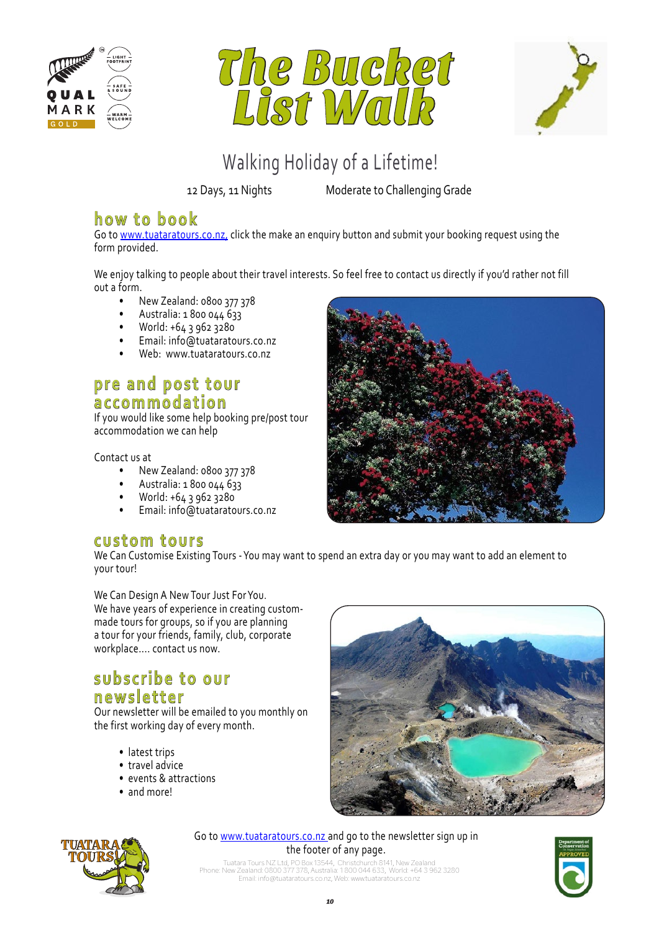





12 Days, 11 Nights Moderate to Challenging Grade

## **how to book**

Go to www.tuataratours.co.nz, click the make an enquiry button and submit your booking request using the form provided.

We enjoy talking to people about their travel interests. So feel free to contact us directly if you'd rather not fill out a form.

- New Zealand: 0800 377 378
- Australia: 1 800 044 633
- World: +64 3 962 3280
- Email: info@tuataratours.co.nz
- Web: www.tuataratours.co.nz

### pre and post tour **accommodation**

If you would like some help booking pre/post tour accommodation we can help

Contact us at

- New Zealand: 0800 377 378
- Australia: 1 800 044 633
- World: +64 3 962 3280
- Email: info@tuataratours.co.nz

### **custom tours**

We Can Customise Existing Tours - You may want to spend an extra day or you may want to add an element to your tour!

We Can Design A New Tour Just For You. We have years of experience in creating custommade tours for groups, so if you are planning a tour for your friends, family, club, corporate workplace.... contact us now.

### subscribe to our **newsletter**

Our newsletter will be emailed to you monthly on the first working day of every month.

- latest trips
- travel advice
- events & attractions
- and more!





Go to www.tuataratours.co.nz and go to the newsletter sign up in the footer of any page.

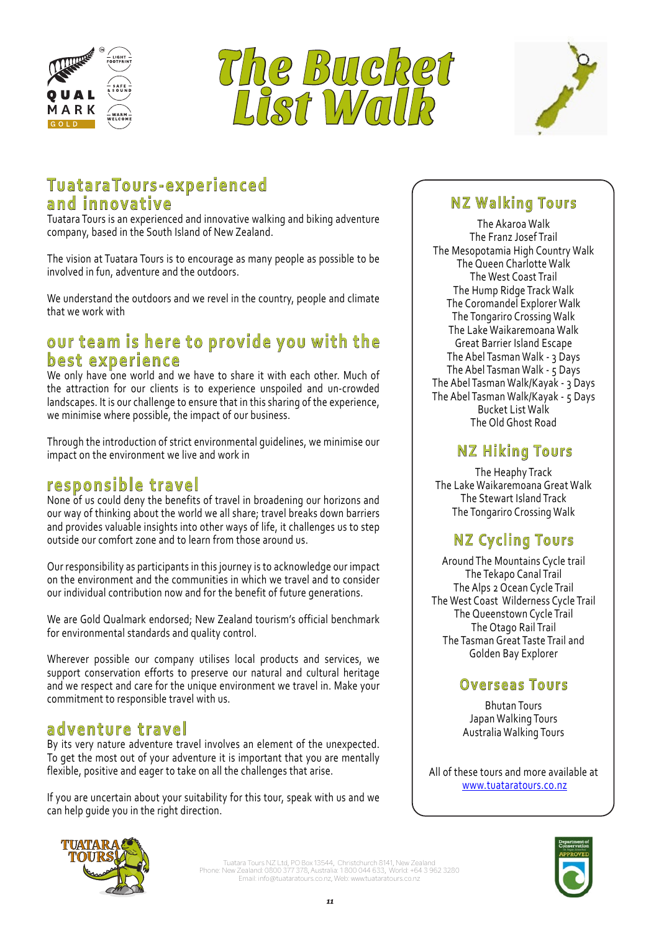





# 12 Days, 11 Nights Moderate to Challenging Grade **TuataraTours-experienced and innovative**

Tuatara Tours is an experienced and innovative walking and biking adventure company, based in the South Island of New Zealand.

The vision at Tuatara Tours is to encourage as many people as possible to be involved in fun, adventure and the outdoors.

We understand the outdoors and we revel in the country, people and climate that we work with

## our team is here to provide you with the **best experience**

We only have one world and we have to share it with each other. Much of the attraction for our clients is to experience unspoiled and un-crowded landscapes. It is our challenge to ensure that in this sharing of the experience, we minimise where possible, the impact of our business.

Through the introduction of strict environmental guidelines, we minimise our impact on the environment we live and work in

## **responsible travel**

None of us could deny the benefits of travel in broadening our horizons and our way of thinking about the world we all share; travel breaks down barriers and provides valuable insights into other ways of life, it challenges us to step outside our comfort zone and to learn from those around us.

Our responsibility as participants in this journey is to acknowledge our impact on the environment and the communities in which we travel and to consider our individual contribution now and for the benefit of future generations.

We are Gold Qualmark endorsed; New Zealand tourism's official benchmark for environmental standards and quality control.

Wherever possible our company utilises local products and services, we support conservation efforts to preserve our natural and cultural heritage and we respect and care for the unique environment we travel in. Make your commitment to responsible travel with us.

## **adventure travel**

By its very nature adventure travel involves an element of the unexpected. To get the most out of your adventure it is important that you are mentally flexible, positive and eager to take on all the challenges that arise.

If you are uncertain about your suitability for this tour, speak with us and we can help guide you in the right direction.

## **NZ Walking Tours**

The Akaroa Walk The Franz Josef Trail The Mesopotamia High Country Walk The Queen Charlotte Walk The West Coast Trail The Hump Ridge Track Walk The Coromandel Explorer Walk The Tongariro Crossing Walk The Lake Waikaremoana Walk Great Barrier Island Escape The Abel Tasman Walk - 3 Days The Abel Tasman Walk - 5 Days The Abel Tasman Walk/Kayak - 3 Days The Abel Tasman Walk/Kayak - 5 Days Bucket List Walk The Old Ghost Road

## **NZ Hiking Tours**

The Heaphy Track The Lake Waikaremoana Great Walk The Stewart Island Track The Tongariro Crossing Walk

# **NZ Cycling Tours**

Around The Mountains Cycle trail The Tekapo Canal Trail The Alps 2 Ocean Cycle Trail The West Coast Wilderness Cycle Trail The Queenstown Cycle Trail The Otago Rail Trail The Tasman Great Taste Trail and Golden Bay Explorer

### **Overseas Tours**

Bhutan Tours Japan Walking Tours Australia Walking Tours

All of these tours and more available at www.tuataratours.co.nz



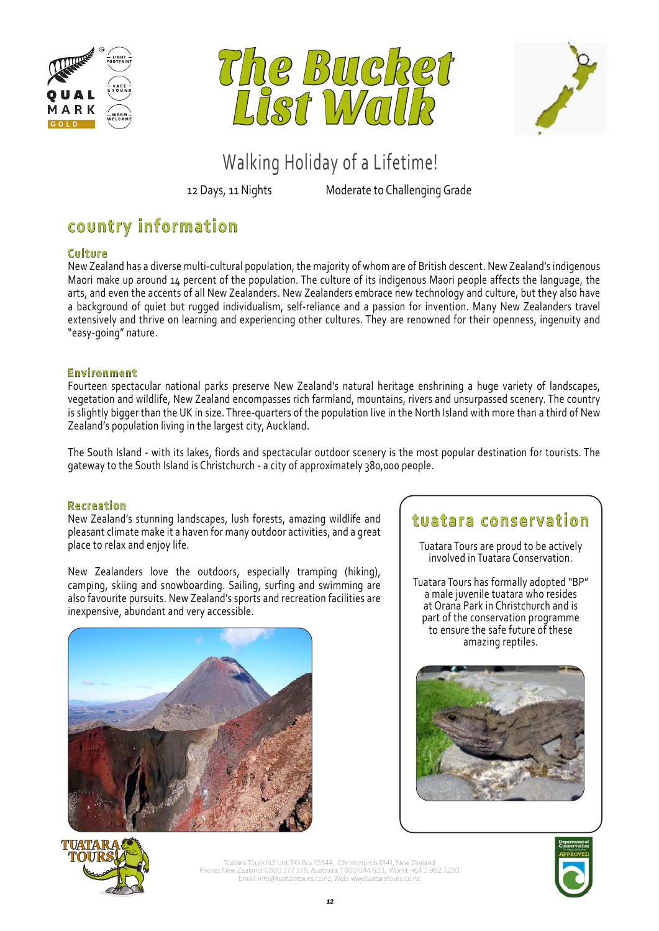





12 Days, 11 Nights Moderate to Challenging Grade

# **country information**

#### **Culture**

New Zealand has a diverse multi-cultural population, the majority of whom are of British descent. New Zealand's indigenous Maori make up around 14 percent of the population. The culture of its indigenous Maori people affects the language, the arts, and even the accents of all New Zealanders. New Zealanders embrace new technology and culture, but they also have a background of quiet but rugged individualism, self-reliance and a passion for invention. Many New Zealanders travel extensively and thrive on learning and experiencing other cultures. They are renowned for their openness, ingenuity and "easy-going" nature.

#### **Environment**

Fourteen spectacular national parks preserve New Zealand's natural heritage enshrining a huge variety of landscapes, vegetation and wildlife, New Zealand encompasses rich farmland, mountains, rivers and unsurpassed scenery. The country is slightly bigger than the UK in size. Three-quarters of the population live in the North Island with more than a third of New Zealand's population living in the largest city, Auckland.

The South Island - with its lakes, fiords and spectacular outdoor scenery is the most popular destination for tourists. The gateway to the South Island is Christchurch - a city of approximately 380,000 people.

#### **Recreation**

New Zealand's stunning landscapes, lush forests, amazing wildlife and pleasant climate make it a haven for many outdoor activities, and a great place to relax and enjoy life.

New Zealanders love the outdoors, especially tramping (hiking), camping, skiing and snowboarding. Sailing, surfing and swimming are also favourite pursuits. New Zealand's sports and recreation facilities are inexpensive, abundant and very accessible.



## **tuatara conservation**

Tuatara Tours are proud to be actively involved in Tuatara Conservation.

Tuatara Tours has formally adopted "BP" a male juvenile tuatara who resides at Orana Park in Christchurch and is part of the conservation programme to ensure the safe future of these amazing reptiles.